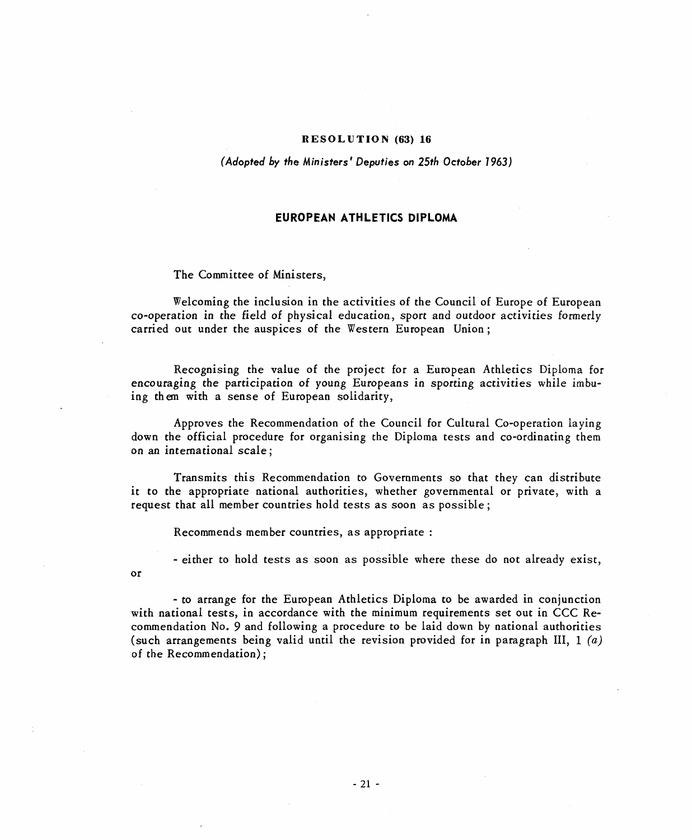# RESOLUTION (63) 16

#### (Adopted by the Ministers' Deputies on 25th October 1963)

# EUROPEAN ATHLETICS DIPLOMA

# The Committee of Ministers,

or

Welcoming the inclusion in the activities of the Council of Europe of European co-operation in the field of physical education, sport and outdoor activities formerly carried out under the auspices of the Western European Union;

Recognising the value of the project for a European Athletics Diploma for encouraging the participation of young Europeans in sporting activities while imbuing them with a sense of European solidarity,

Approves the Recommendation of the Council for Cultural Co-operation laying down the official procedure for organising the Diploma tests and co-ordinating them on an international scale;

Transmits this Recommendation to Governments so that they can distribute it to the appropriate national authorities, whether governmental or private, with a request that all member countries hold tests as soon as possible;

Recommends member countries, as appropriate:

- either to hold tests as soon as possible where these do not already exist,

- to arrange for the European Athletics Diploma to be awarded in conjunction with national tests, in accordance with the minimum requirements set out in CCC Recommendation No. 9 and following a procedure to be laid down by national authorities (such arrangements being valid until the revision provided for in paragraph III,  $1(a)$ of the Recommendation);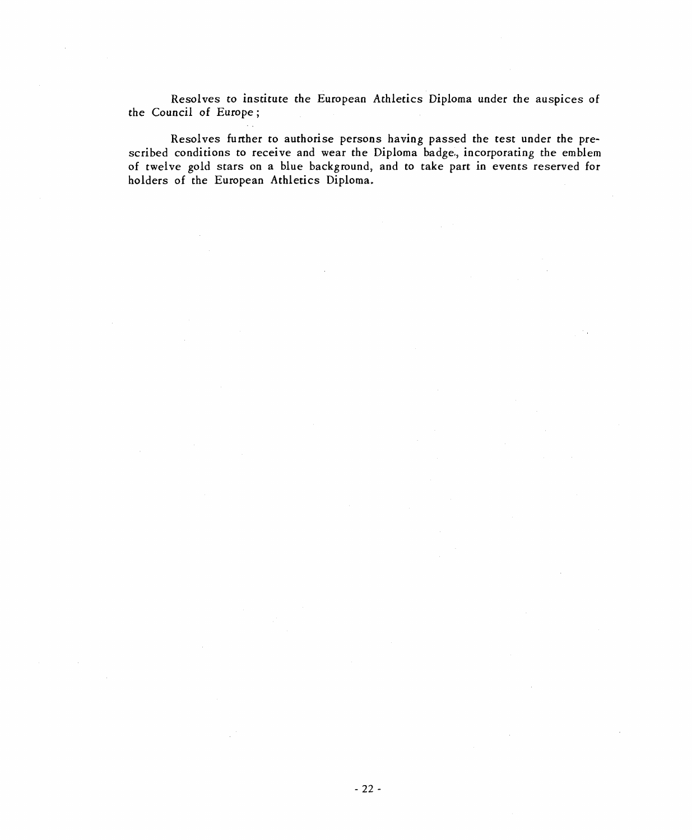Resolves to institute the European Athletics Diploma under the auspices of the Council of Europe;

Resolves further to authorise persons having passed the test under the prescribed conditions to receive and wear the Diploma badge, incorporating the emblem of twelve gold stars on a blue background, and to take part in events reserved for holders of the European Athletics Diploma.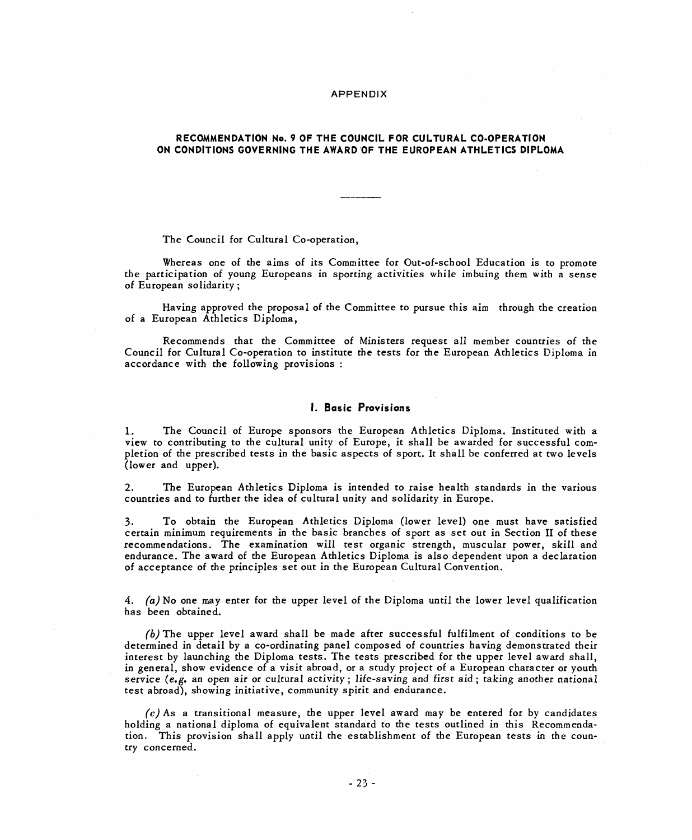#### APPENDIX

# RECOMMENDATION No. 9 OF THE COUNCIL FOR CULTURAL CO-OPERATION ON CONDITIONS GOVERNING THE AWARD OF THE EUROPEAN ATHLETICS DIPLOMA

The Council for Cultural Co-operation,

Whereas one of the aims of its Committee for Out-of-school Education is to promote the participation of young Europeans in sporting activities while imbuing them with a sense of European solidarity;

Having approved the proposal of the Committee to pursue this aim through the creation of a European Athletics Diploma,

Recommends that the Committee of Ministers request all member countries of the Council for Cultural Co-operation to institute the tests for the European Athletics Diploma in accordance with the following provisions:

## 1. Basic Provisions

1. The Council of Europe sponsors the European Athletics Diploma. Instituted with a view to contributing to the cultural unity of Europe, it shall be awarded for successful completion of the prescribed tests in the basic aspects of sport. It shall be conferred at two levels (lower and upper).

2. The European Athletics Diploma is intended to raise health standards in the various countries and to further the idea of cultural unity and solidarity in Europe.

3. To obtain the European Athletics Diploma (lower level) one must have satisfied certain minimum requirements in the basic branches of sport as set out in Section II of these recommendations. The examination will test organic strength, muscular power, skill and endurance. The award of the European Athletics Diploma is also dependent upon a declaration of acceptance of the principles set out in the European Cultural Convention.

4. (a) No one may enter for the upper level of the Diploma until the lower level qualification has been obtained.

 $(b)$  The upper level award shall be made after successful fulfilment of conditions to be determined in detail by a co-ordinating panel composed of countries having demonstrated their interest by launching the Diploma tests. The tests prescribed for the upper level award shall, in general, show evidence of a visit abroad, or a study project of a European character or youth service (e.g. an open air or cultural activity; life-saving and first aid; taking another national test abroad), showing initiative, community spirit and endurance.

 $(c)$  As a transitional measure, the upper level award may be entered for by candidates holding a national diploma of equivalent standard to the tests outlined in this Recommendation. This provision shall apply until the establishment of the European tests in the country concerned.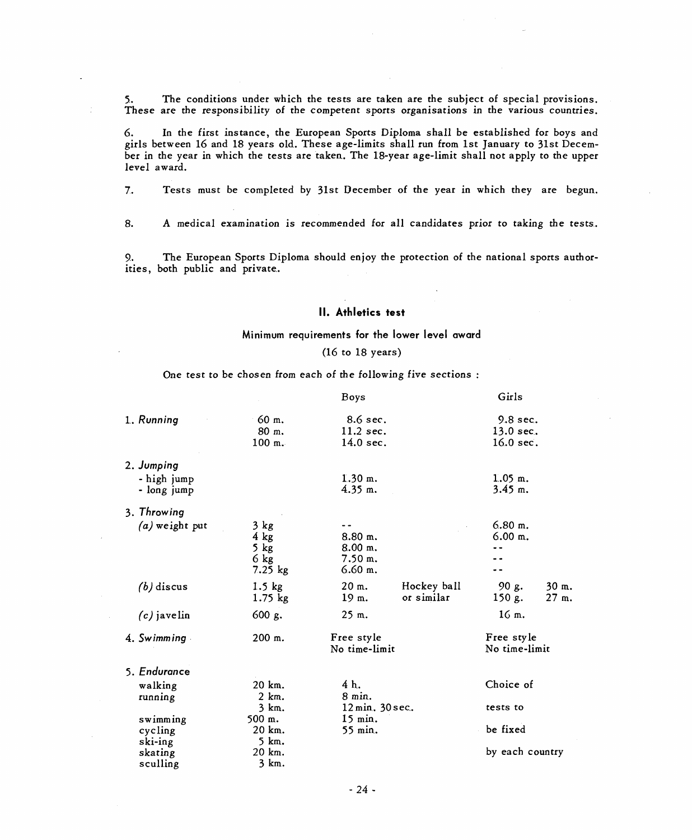5. The conditions under which the tests are taken are the subject of special provisions. These are the responsibility of the competent sports organisations in the various countries.

6. In the first instance, the European Sports Diploma shall be established for boys and girls between 16 and 18 years old. These age-limits shall run from 1st January to 31st December in the year in which the tests are taken. The 18-year age-limit shall not apply to the upper level award.

7. Tests must be completed by 31st December of the year in which they are begun.

8. A medical examination is recommended for all candidates prior to taking the tests.

9. The European Sports Diploma should enjoy the protection of the national sports authorities, both public and private.

## II. Athletics test

# Minimum requirements for the lower level award

## (16 to 18 years)

One test to be chosen from each of the following five sections:

|  |                  |           | <b>Boys</b>               |             | Girls           |            |  |
|--|------------------|-----------|---------------------------|-------------|-----------------|------------|--|
|  | 1. Running       | 60 m.     | 8.6 sec.                  |             | $9.8$ sec.      |            |  |
|  |                  | 80 m.     | 11.2 sec.                 |             | 13.0 sec.       |            |  |
|  |                  | 100 m.    | 14.0 sec.                 |             | $16.0$ sec.     |            |  |
|  | 2. Jumping       |           |                           |             |                 |            |  |
|  | - high jump      |           | $1.30$ m.                 |             | $1.05$ m.       |            |  |
|  | - long jump      |           | $4.35$ m.                 |             | $3.45$ m.       |            |  |
|  | 3. Throwing      |           |                           |             |                 |            |  |
|  | $(a)$ weight put | $3$ kg    |                           |             | $6.80$ m.       |            |  |
|  |                  | $4$ kg    | 8.80 m.                   |             | $6.00$ m.       |            |  |
|  |                  | $5$ kg    | 8.00 m.                   |             |                 |            |  |
|  |                  | $6$ kg    | 7.50 m.                   |             |                 |            |  |
|  |                  | $7.25$ kg | $6.60$ m.                 |             |                 |            |  |
|  | $(b)$ discus     | $1.5$ kg  | 20 m.                     | Hockey ball | 90 g.           | 30 m.      |  |
|  |                  | $1.75$ kg | 19 m.                     | or similar  | 150 g.          | 27 m.      |  |
|  | $(c)$ javelin    | 600 g.    | 25 m.                     |             | 16 m.           |            |  |
|  | 4. Swimming      | 200 m.    |                           | Free style  |                 | Free style |  |
|  |                  |           | No time-limit             |             | No time-limit   |            |  |
|  | 5. Endurance     |           |                           |             |                 |            |  |
|  | walking          | 20 km.    | 4 h.                      |             | Choice of       |            |  |
|  | running          | 2 km.     | 8 min.<br>12 min. 30 sec. |             |                 |            |  |
|  |                  | 3 km.     |                           |             | tests to        |            |  |
|  | swimming         | 500 m.    | 15 min.                   |             |                 |            |  |
|  | cycling          | 20 km.    | 55 min.                   |             | be fixed        |            |  |
|  | ski-ing          | 5 km.     |                           |             |                 |            |  |
|  | skating          | 20 km.    |                           |             | by each country |            |  |
|  | sculling         | 3 km.     |                           |             |                 |            |  |